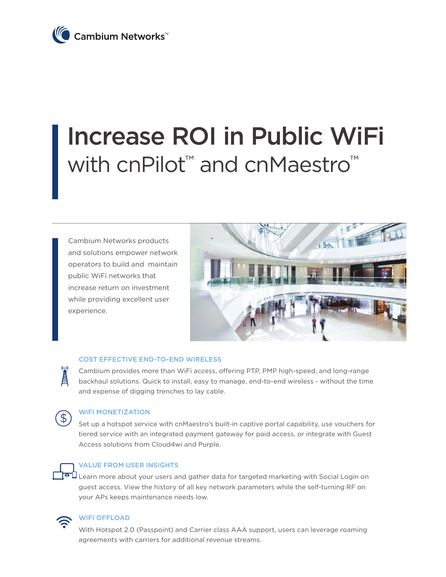

# Increase ROI in Public WiFi with cnPilot<sup>™</sup> and cnMaestro™

Cambium Networks products and solutions empower network operators to build and maintain public WiFi networks that increase return on investment while providing excellent user experience.



#### COST EFFECTIVE END-TO-END WIRELESS

Cambium provides more than WiFi access, offering PTP, PMP high-speed, and long-range backhaul solutions. Quick to install, easy to manage, end-to-end wireless - without the time and expense of digging trenches to lay cable.



 $(\mathbf{r}, \mathbf{r})$ 

### WIFI MONETIZATION

Set up a hotspot service with cnMaestro's built-in captive portal capability, use vouchers for tiered service with an integrated payment gateway for paid access, or integrate with Guest Access solutions from Cloud4wi and Purple.



#### VALUE FROM USER INSIGHTS

Learn more about your users and gather data for targeted marketing with Social Login on guest access. View the history of all key network parameters while the self-turning RF on your APs keeps maintenance needs low.



## WIFI OFFLOAD

With Hotspot 2.0 (Passpoint) and Carrier class AAA support, users can leverage roaming agreements with carriers for additional revenue streams.